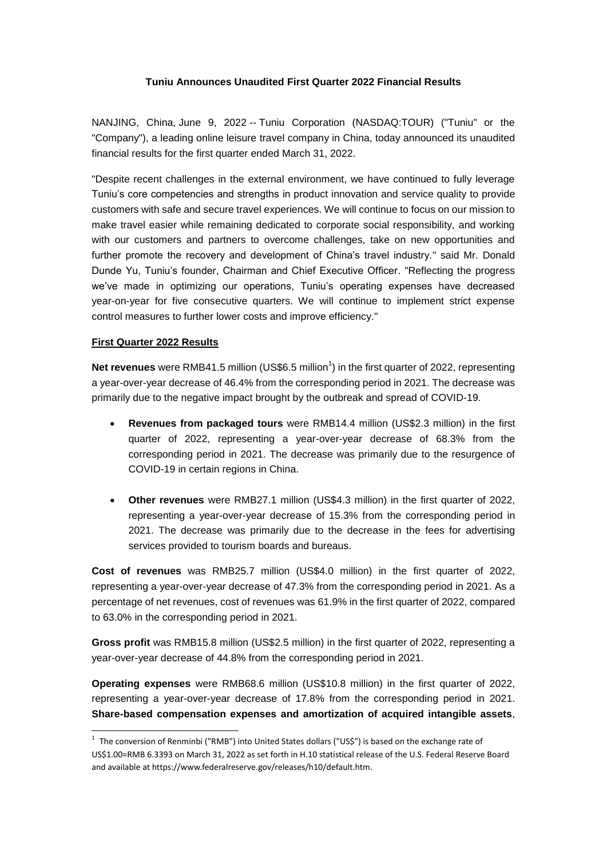## **Tuniu Announces Unaudited First Quarter 2022 Financial Results**

NANJING, China, June 9, 2022 -- Tuniu Corporation (NASDAQ:TOUR) ("Tuniu" or the "Company"), a leading online leisure travel company in China, today announced its unaudited financial results for the first quarter ended March 31, 2022.

"Despite recent challenges in the external environment, we have continued to fully leverage Tuniu's core competencies and strengths in product innovation and service quality to provide customers with safe and secure travel experiences. We will continue to focus on our mission to make travel easier while remaining dedicated to corporate social responsibility, and working with our customers and partners to overcome challenges, take on new opportunities and further promote the recovery and development of China's travel industry." said Mr. Donald Dunde Yu, Tuniu's founder, Chairman and Chief Executive Officer. "Reflecting the progress we've made in optimizing our operations, Tuniu's operating expenses have decreased year-on-year for five consecutive quarters. We will continue to implement strict expense control measures to further lower costs and improve efficiency."

#### **First Quarter 2022 Results**

-

Net revenues were RMB41.5 million (US\$6.5 million<sup>1</sup>) in the first quarter of 2022, representing a year-over-year decrease of 46.4% from the corresponding period in 2021. The decrease was primarily due to the negative impact brought by the outbreak and spread of COVID-19.

- **Revenues from packaged tours** were RMB14.4 million (US\$2.3 million) in the first quarter of 2022, representing a year-over-year decrease of 68.3% from the corresponding period in 2021. The decrease was primarily due to the resurgence of COVID-19 in certain regions in China.
- **Other revenues** were RMB27.1 million (US\$4.3 million) in the first quarter of 2022, representing a year-over-year decrease of 15.3% from the corresponding period in 2021. The decrease was primarily due to the decrease in the fees for advertising services provided to tourism boards and bureaus.

**Cost of revenues** was RMB25.7 million (US\$4.0 million) in the first quarter of 2022, representing a year-over-year decrease of 47.3% from the corresponding period in 2021. As a percentage of net revenues, cost of revenues was 61.9% in the first quarter of 2022, compared to 63.0% in the corresponding period in 2021.

**Gross profit** was RMB15.8 million (US\$2.5 million) in the first quarter of 2022, representing a year-over-year decrease of 44.8% from the corresponding period in 2021.

**Operating expenses** were RMB68.6 million (US\$10.8 million) in the first quarter of 2022, representing a year-over-year decrease of 17.8% from the corresponding period in 2021. **Share-based compensation expenses and amortization of acquired intangible assets**,

<sup>&</sup>lt;sup>1</sup> The conversion of Renminbi ("RMB") into United States dollars ("US\$") is based on the exchange rate of US\$1.00=RMB 6.3393 on March 31, 2022 as set forth in H.10 statistical release of the U.S. Federal Reserve Board and available at https://www.federalreserve.gov/releases/h10/default.htm.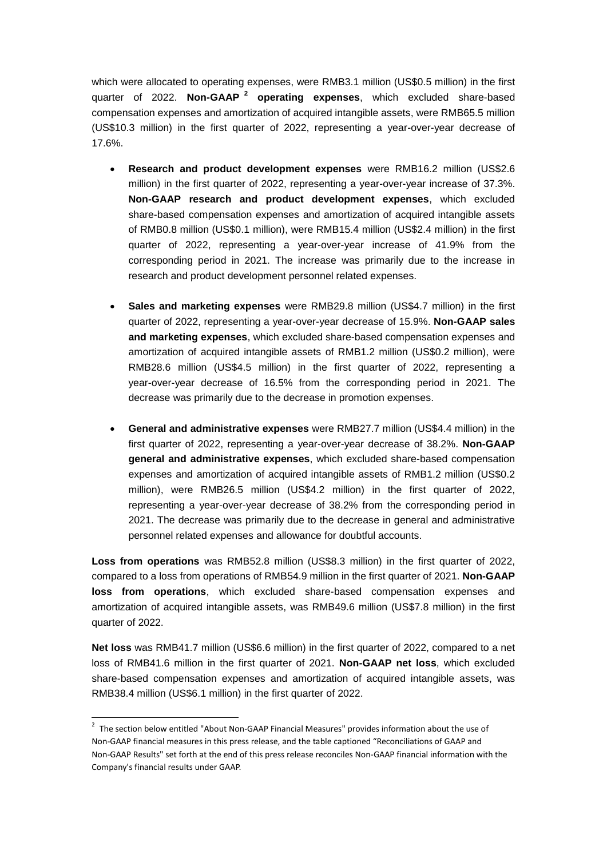which were allocated to operating expenses, were RMB3.1 million (US\$0.5 million) in the first quarter of 2022. **Non-GAAP <sup>2</sup> operating expenses**, which excluded share-based compensation expenses and amortization of acquired intangible assets, were RMB65.5 million (US\$10.3 million) in the first quarter of 2022, representing a year-over-year decrease of 17.6%.

- **Research and product development expenses** were RMB16.2 million (US\$2.6 million) in the first quarter of 2022, representing a year-over-year increase of 37.3%. **Non-GAAP research and product development expenses**, which excluded share-based compensation expenses and amortization of acquired intangible assets of RMB0.8 million (US\$0.1 million), were RMB15.4 million (US\$2.4 million) in the first quarter of 2022, representing a year-over-year increase of 41.9% from the corresponding period in 2021. The increase was primarily due to the increase in research and product development personnel related expenses.
- **Sales and marketing expenses** were RMB29.8 million (US\$4.7 million) in the first quarter of 2022, representing a year-over-year decrease of 15.9%. **Non-GAAP sales and marketing expenses**, which excluded share-based compensation expenses and amortization of acquired intangible assets of RMB1.2 million (US\$0.2 million), were RMB28.6 million (US\$4.5 million) in the first quarter of 2022, representing a year-over-year decrease of 16.5% from the corresponding period in 2021. The decrease was primarily due to the decrease in promotion expenses.
- **General and administrative expenses** were RMB27.7 million (US\$4.4 million) in the first quarter of 2022, representing a year-over-year decrease of 38.2%. **Non-GAAP general and administrative expenses**, which excluded share-based compensation expenses and amortization of acquired intangible assets of RMB1.2 million (US\$0.2 million), were RMB26.5 million (US\$4.2 million) in the first quarter of 2022, representing a year-over-year decrease of 38.2% from the corresponding period in 2021. The decrease was primarily due to the decrease in general and administrative personnel related expenses and allowance for doubtful accounts.

**Loss from operations** was RMB52.8 million (US\$8.3 million) in the first quarter of 2022, compared to a loss from operations of RMB54.9 million in the first quarter of 2021. **Non-GAAP loss from operations**, which excluded share-based compensation expenses and amortization of acquired intangible assets, was RMB49.6 million (US\$7.8 million) in the first quarter of 2022.

**Net loss** was RMB41.7 million (US\$6.6 million) in the first quarter of 2022, compared to a net loss of RMB41.6 million in the first quarter of 2021. **Non-GAAP net loss**, which excluded share-based compensation expenses and amortization of acquired intangible assets, was RMB38.4 million (US\$6.1 million) in the first quarter of 2022.

-

 $2$  The section below entitled "About Non-GAAP Financial Measures" provides information about the use of Non-GAAP financial measures in this press release, and the table captioned "Reconciliations of GAAP and Non-GAAP Results" set forth at the end of this press release reconciles Non-GAAP financial information with the Company's financial results under GAAP.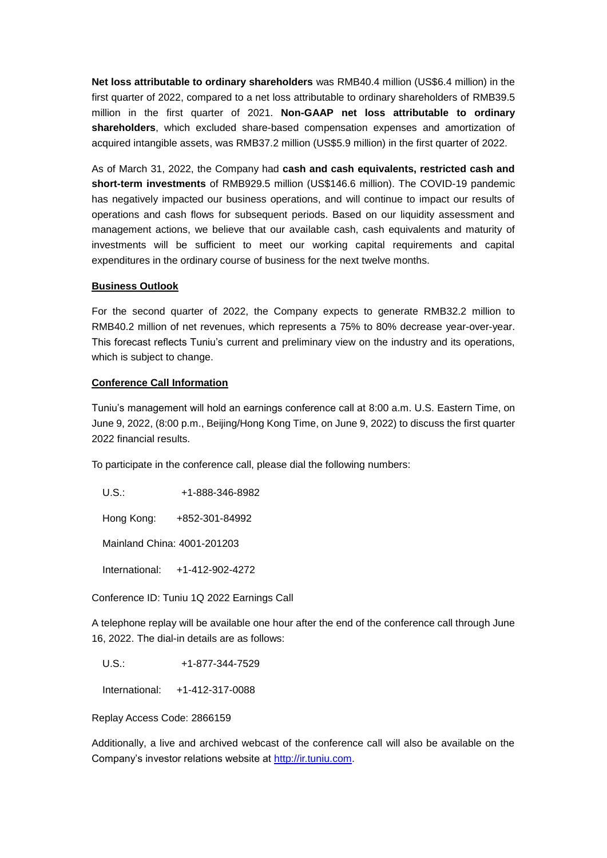**Net loss attributable to ordinary shareholders** was RMB40.4 million (US\$6.4 million) in the first quarter of 2022, compared to a net loss attributable to ordinary shareholders of RMB39.5 million in the first quarter of 2021. **Non-GAAP net loss attributable to ordinary shareholders**, which excluded share-based compensation expenses and amortization of acquired intangible assets, was RMB37.2 million (US\$5.9 million) in the first quarter of 2022.

As of March 31, 2022, the Company had **cash and cash equivalents, restricted cash and short-term investments** of RMB929.5 million (US\$146.6 million). The COVID-19 pandemic has negatively impacted our business operations, and will continue to impact our results of operations and cash flows for subsequent periods. Based on our liquidity assessment and management actions, we believe that our available cash, cash equivalents and maturity of investments will be sufficient to meet our working capital requirements and capital expenditures in the ordinary course of business for the next twelve months.

#### **Business Outlook**

For the second quarter of 2022, the Company expects to generate RMB32.2 million to RMB40.2 million of net revenues, which represents a 75% to 80% decrease year-over-year. This forecast reflects Tuniu's current and preliminary view on the industry and its operations, which is subject to change.

#### **Conference Call Information**

Tuniu's management will hold an earnings conference call at 8:00 a.m. U.S. Eastern Time, on June 9, 2022, (8:00 p.m., Beijing/Hong Kong Time, on June 9, 2022) to discuss the first quarter 2022 financial results.

To participate in the conference call, please dial the following numbers:

U.S.: +1-888-346-8982

Hong Kong: +852-301-84992

Mainland China: 4001-201203

International: +1-412-902-4272

Conference ID: Tuniu 1Q 2022 Earnings Call

A telephone replay will be available one hour after the end of the conference call through June 16, 2022. The dial-in details are as follows:

U.S.: +1-877-344-7529

International: +1-412-317-0088

Replay Access Code: 2866159

Additionally, a live and archived webcast of the conference call will also be available on the Company's investor relations website at [http://ir.tuniu.com.](http://ir.tuniu.com/)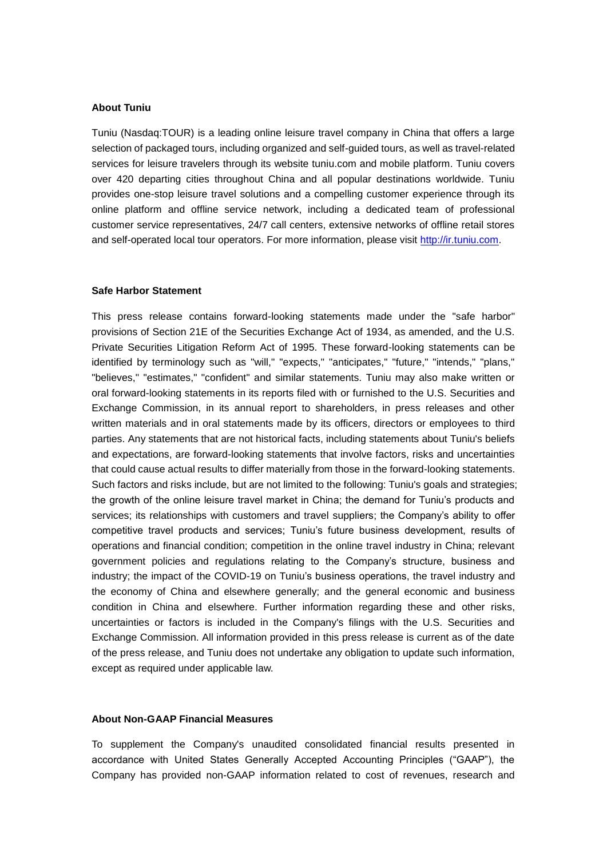### **About Tuniu**

Tuniu (Nasdaq:TOUR) is a leading online leisure travel company in China that offers a large selection of packaged tours, including organized and self-guided tours, as well as travel-related services for leisure travelers through its website tuniu.com and mobile platform. Tuniu covers over 420 departing cities throughout China and all popular destinations worldwide. Tuniu provides one-stop leisure travel solutions and a compelling customer experience through its online platform and offline service network, including a dedicated team of professional customer service representatives, 24/7 call centers, extensive networks of offline retail stores and self-operated local tour operators. For more information, please visit [http://ir.tuniu.com.](http://ir.tuniu.com/)

#### **Safe Harbor Statement**

This press release contains forward-looking statements made under the "safe harbor" provisions of Section 21E of the Securities Exchange Act of 1934, as amended, and the U.S. Private Securities Litigation Reform Act of 1995. These forward-looking statements can be identified by terminology such as "will," "expects," "anticipates," "future," "intends," "plans," "believes," "estimates," "confident" and similar statements. Tuniu may also make written or oral forward-looking statements in its reports filed with or furnished to the U.S. Securities and Exchange Commission, in its annual report to shareholders, in press releases and other written materials and in oral statements made by its officers, directors or employees to third parties. Any statements that are not historical facts, including statements about Tuniu's beliefs and expectations, are forward-looking statements that involve factors, risks and uncertainties that could cause actual results to differ materially from those in the forward-looking statements. Such factors and risks include, but are not limited to the following: Tuniu's goals and strategies; the growth of the online leisure travel market in China; the demand for Tuniu's products and services; its relationships with customers and travel suppliers; the Company's ability to offer competitive travel products and services; Tuniu's future business development, results of operations and financial condition; competition in the online travel industry in China; relevant government policies and regulations relating to the Company's structure, business and industry; the impact of the COVID-19 on Tuniu's business operations, the travel industry and the economy of China and elsewhere generally; and the general economic and business condition in China and elsewhere. Further information regarding these and other risks, uncertainties or factors is included in the Company's filings with the U.S. Securities and Exchange Commission. All information provided in this press release is current as of the date of the press release, and Tuniu does not undertake any obligation to update such information, except as required under applicable law.

### **About Non-GAAP Financial Measures**

To supplement the Company's unaudited consolidated financial results presented in accordance with United States Generally Accepted Accounting Principles ("GAAP"), the Company has provided non-GAAP information related to cost of revenues, research and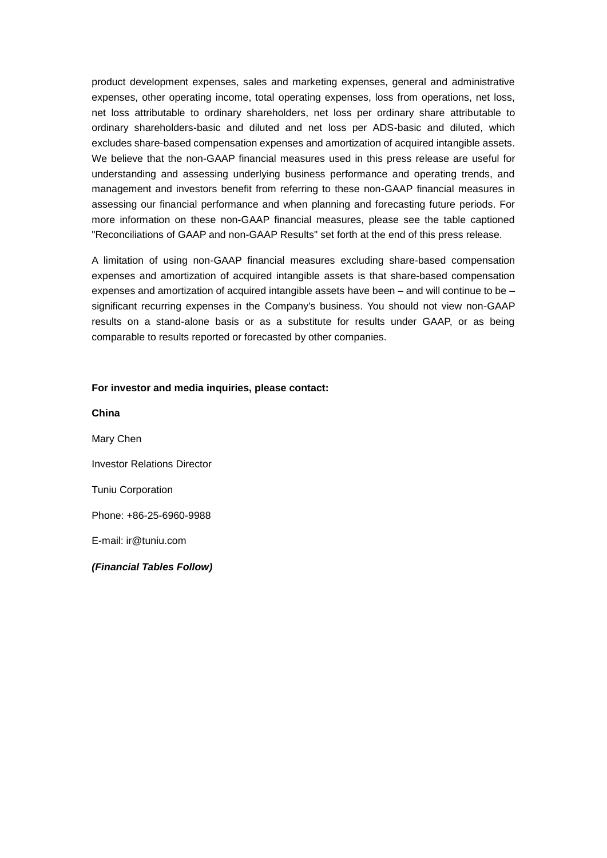product development expenses, sales and marketing expenses, general and administrative expenses, other operating income, total operating expenses, loss from operations, net loss, net loss attributable to ordinary shareholders, net loss per ordinary share attributable to ordinary shareholders-basic and diluted and net loss per ADS-basic and diluted, which excludes share-based compensation expenses and amortization of acquired intangible assets. We believe that the non-GAAP financial measures used in this press release are useful for understanding and assessing underlying business performance and operating trends, and management and investors benefit from referring to these non-GAAP financial measures in assessing our financial performance and when planning and forecasting future periods. For more information on these non-GAAP financial measures, please see the table captioned "Reconciliations of GAAP and non-GAAP Results" set forth at the end of this press release.

A limitation of using non-GAAP financial measures excluding share-based compensation expenses and amortization of acquired intangible assets is that share-based compensation expenses and amortization of acquired intangible assets have been – and will continue to be – significant recurring expenses in the Company's business. You should not view non-GAAP results on a stand-alone basis or as a substitute for results under GAAP, or as being comparable to results reported or forecasted by other companies.

#### **For investor and media inquiries, please contact:**

**China**  Mary Chen Investor Relations Director Tuniu Corporation Phone: +86-25-6960-9988 E-mail: [ir@tuniu.com](mailto:ir@tuniu.com) *(Financial Tables Follow)*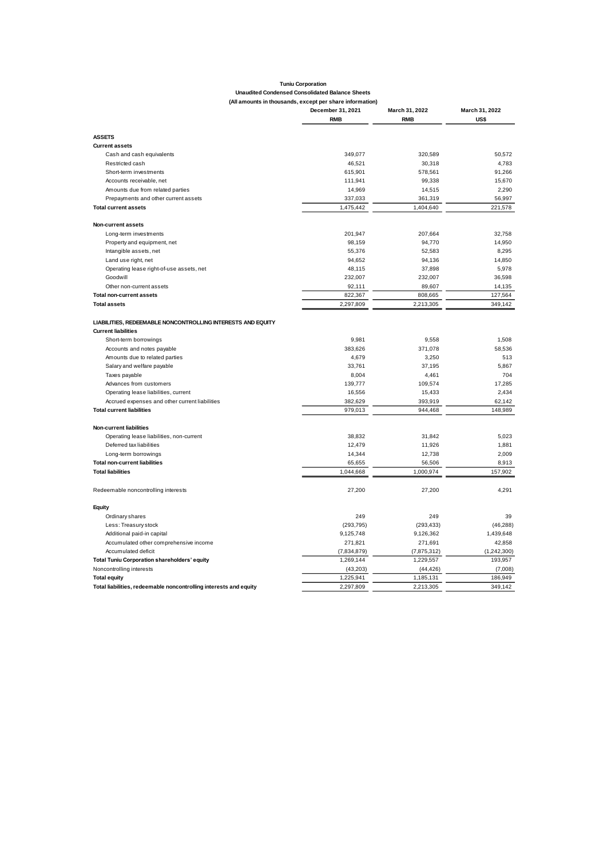# **Tuniu Corporation Unaudited Condensed Consolidated Balance Sheets**

## **(All amounts in thousands, except per share information)**

|                                                                   | December 31, 2021 | March 31, 2022 | March 31, 2022 |  |
|-------------------------------------------------------------------|-------------------|----------------|----------------|--|
|                                                                   | <b>RMB</b>        | <b>RMB</b>     | US\$           |  |
| <b>ASSETS</b>                                                     |                   |                |                |  |
| <b>Current assets</b>                                             |                   |                |                |  |
| Cash and cash equivalents                                         | 349,077           | 320,589        | 50,572         |  |
| Restricted cash                                                   | 46,521            | 30,318         | 4,783          |  |
| Short-term investments                                            | 615,901           | 578,561        | 91,266         |  |
| Accounts receivable, net                                          | 111,941           | 99,338         | 15,670         |  |
| Amounts due from related parties                                  | 14,969            | 14,515         | 2,290          |  |
| Prepayments and other current assets                              | 337,033           | 361,319        | 56,997         |  |
| <b>Total current assets</b>                                       | 1,475,442         | 1,404,640      | 221,578        |  |
| Non-current assets                                                |                   |                |                |  |
| Long-term investments                                             | 201,947           | 207,664        | 32,758         |  |
| Property and equipment, net                                       | 98,159            | 94,770         | 14,950         |  |
| Intangible assets, net                                            | 55,376            | 52,583         | 8,295          |  |
| Land use right, net                                               | 94,652            | 94,136         | 14,850         |  |
| Operating lease right-of-use assets, net                          | 48,115            | 37,898         | 5,978          |  |
| Goodwill                                                          | 232,007           | 232,007        | 36,598         |  |
| Other non-current assets                                          | 92,111            | 89,607         | 14,135         |  |
| <b>Total non-current assets</b>                                   | 822,367           | 808,665        | 127,564        |  |
| <b>Total assets</b>                                               | 2,297,809         | 2,213,305      | 349,142        |  |
| LIABILITIES, REDEEMABLE NONCONTROLLING INTERESTS AND EQUITY       |                   |                |                |  |
| <b>Current liabilities</b>                                        |                   |                |                |  |
| Short-term borrowings                                             | 9.981             | 9.558          | 1.508          |  |
| Accounts and notes payable                                        | 383,626           | 371,078        | 58,536         |  |
| Amounts due to related parties                                    | 4,679             | 3,250          | 513            |  |
| Salary and welfare payable                                        | 33,761            | 37,195         | 5,867          |  |
| Taxes payable                                                     | 8,004             | 4,461          | 704            |  |
| Advances from customers                                           | 139,777           | 109,574        | 17,285         |  |
| Operating lease liabilities, current                              | 16,556            | 15,433         | 2,434          |  |
| Accrued expenses and other current liabilities                    | 382,629           | 393,919        | 62,142         |  |
| <b>Total current liabilities</b>                                  | 979,013           | 944,468        | 148,989        |  |
| <b>Non-current liabilities</b>                                    |                   |                |                |  |
| Operating lease liabilities, non-current                          | 38,832            | 31,842         | 5,023          |  |
| Deferred tax liabilities                                          | 12,479            | 11,926         | 1,881          |  |
| Long-term borrowings                                              | 14,344            | 12,738         | 2,009          |  |
| <b>Total non-current liabilities</b>                              | 65,655            | 56,506         | 8,913          |  |
| <b>Total liabilities</b>                                          | 1,044,668         | 1,000,974      | 157,902        |  |
| Redeemable noncontrolling interests                               | 27,200            | 27,200         | 4,291          |  |
| Equity                                                            |                   |                |                |  |
| Ordinary shares                                                   | 249               | 249            | 39             |  |
| Less: Treasury stock                                              | (293, 795)        | (293, 433)     | (46, 288)      |  |
| Additional paid-in capital                                        | 9,125,748         | 9,126,362      | 1,439,648      |  |
| Accumulated other comprehensive income                            | 271,821           | 271,691        | 42,858         |  |
| Accumulated deficit                                               | (7,834,879)       | (7,875,312)    | (1,242,300)    |  |
| Total Tuniu Corporation shareholders' equity                      | 1,269,144         | 1,229,557      | 193,957        |  |
| Noncontrolling interests                                          | (43,203)          | (44, 426)      | (7,008)        |  |
| <b>Total equity</b>                                               | 1,225,941         | 1,185,131      | 186,949        |  |
| Total liabilities, redeemable noncontrolling interests and equity | 2,297,809         | 2,213,305      | 349,142        |  |
|                                                                   |                   |                |                |  |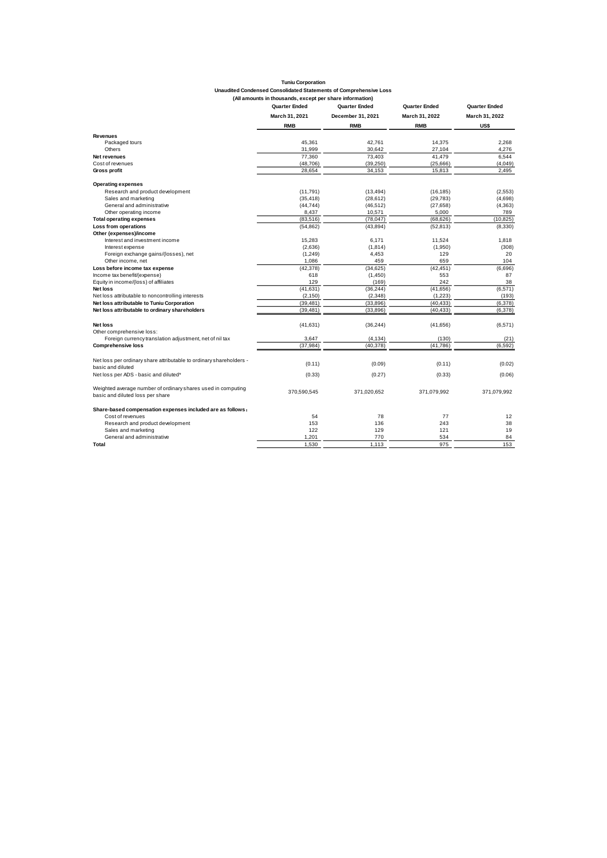| <b>Tuniu Corporation</b>                                          |  |
|-------------------------------------------------------------------|--|
| Unaudited Condensed Consolidated Statements of Comprehensive Loss |  |
| (All amounts in thousands, except per share information)          |  |

|                                                                     | <b>Quarter Ended</b><br>March 31, 2021 | Quarter Ended     | <b>Quarter Ended</b><br>March 31, 2022 | <b>Quarter Ended</b><br>March 31, 2022 |  |
|---------------------------------------------------------------------|----------------------------------------|-------------------|----------------------------------------|----------------------------------------|--|
|                                                                     |                                        | December 31, 2021 |                                        |                                        |  |
|                                                                     | <b>RMB</b>                             | <b>RMB</b>        | <b>RMB</b>                             | US\$                                   |  |
| Revenues                                                            |                                        |                   |                                        |                                        |  |
| Packaged tours                                                      | 45,361                                 | 42.761            | 14,375                                 | 2.268                                  |  |
| Others                                                              | 31,999                                 | 30,642            | 27,104                                 | 4,276                                  |  |
| <b>Net revenues</b>                                                 | 77,360                                 | 73,403            | 41,479                                 | 6.544                                  |  |
| Cost of revenues                                                    | (48, 706)                              | (39, 250)         | (25,666)                               | (4,049)                                |  |
| Gross profit                                                        | 28,654                                 | 34,153            | 15,813                                 | 2,495                                  |  |
| <b>Operating expenses</b>                                           |                                        |                   |                                        |                                        |  |
| Research and product development                                    | (11, 791)                              | (13, 494)         | (16, 185)                              | (2,553)                                |  |
| Sales and marketing                                                 | (35, 418)                              | (28, 612)         | (29, 783)                              | (4,698)                                |  |
| General and administrative                                          | (44, 744)                              | (46, 512)         | (27, 658)                              | (4, 363)                               |  |
| Other operating income                                              | 8,437                                  | 10,571            | 5,000                                  | 789                                    |  |
| <b>Total operating expenses</b>                                     | (83, 516)                              | (78, 047)         | (68, 626)                              | (10, 825)                              |  |
| Loss from operations                                                | (54, 862)                              | (43, 894)         | (52, 813)                              | (8,330)                                |  |
| Other (expenses)/income                                             |                                        |                   |                                        |                                        |  |
| Interest and investment income                                      | 15,283                                 | 6,171             | 11,524                                 | 1,818                                  |  |
| Interest expense                                                    | (2,636)                                | (1, 814)          | (1,950)                                | (308)                                  |  |
| Foreign exchange gains/(losses), net                                | (1,249)                                | 4,453             | 129                                    | 20                                     |  |
| Other income, net                                                   | 1.086                                  | 459               | 659                                    | 104                                    |  |
| Loss before income tax expense                                      | (42, 378)                              | (34, 625)         | (42, 451)                              | (6,696)                                |  |
| Income tax benefit/(expense)                                        | 618                                    | (1,450)           | 553                                    | 87                                     |  |
| Equity in income/(loss) of affiliates                               | 129                                    | (169)             | 242                                    | 38                                     |  |
| <b>Net loss</b>                                                     | (41, 631)                              | (36, 244)         | (41,656)                               | (6, 571)                               |  |
| Net loss attributable to noncontrolling interests                   | (2, 150)                               | (2,348)           | (1,223)                                | (193)                                  |  |
| Net loss attributable to Tuniu Corporation                          | (39, 481)                              | (33, 896)         | (40, 433)                              | (6,378)                                |  |
| Net loss attributable to ordinary shareholders                      | (39, 481)                              | (33, 896)         | (40, 433)                              | (6, 378)                               |  |
| <b>Net loss</b>                                                     | (41, 631)                              | (36, 244)         | (41, 656)                              | (6,571)                                |  |
| Other comprehensive loss:                                           |                                        |                   |                                        |                                        |  |
| Foreign currency translation adjustment, net of nil tax             | 3,647                                  | (4, 134)          | (130)                                  | (21)                                   |  |
| <b>Comprehensive loss</b>                                           | (37, 984)                              | (40.378)          | (41, 786)                              | (6.592)                                |  |
| Net loss per ordinary share attributable to ordinary shareholders - |                                        |                   |                                        |                                        |  |
| basic and diluted                                                   | (0.11)                                 | (0.09)            | (0.11)                                 | (0.02)                                 |  |
| Net loss per ADS - basic and diluted*                               | (0.33)                                 | (0.27)            | (0.33)                                 | (0.06)                                 |  |
| Weighted average number of ordinary shares used in computing        | 370,590,545                            | 371,020,652       | 371,079,992                            | 371,079,992                            |  |
| basic and diluted loss per share                                    |                                        |                   |                                        |                                        |  |
| Share-based compensation expenses included are as follows:          |                                        |                   |                                        |                                        |  |
| Cost of revenues                                                    | 54                                     | 78                | 77                                     | 12                                     |  |
| Research and product development                                    | 153                                    | 136               | 243                                    | 38                                     |  |
| Sales and marketing                                                 | 122                                    | 129               | 121                                    | 19                                     |  |
| General and administrative                                          | 1.201                                  | 770               | 534                                    | 84                                     |  |
| Total                                                               | 1,530                                  | 1.113             | 975                                    | 153                                    |  |